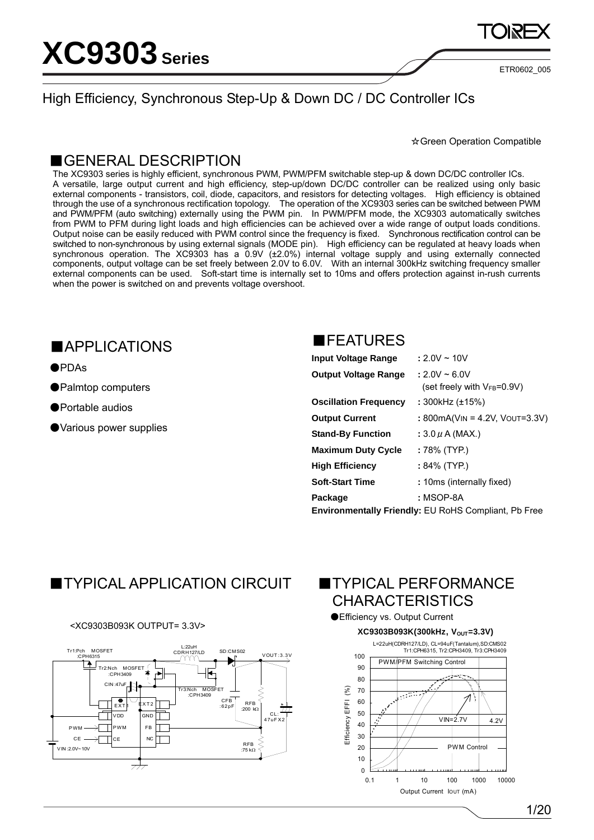ETR0602\_005

### High Efficiency, Synchronous Step-Up & Down DC / DC Controller ICs

☆Green Operation Compatible

### ■GENERAL DESCRIPTION

The XC9303 series is highly efficient, synchronous PWM, PWM/PFM switchable step-up & down DC/DC controller ICs. A versatile, large output current and high efficiency, step-up/down DC/DC controller can be realized using only basic external components - transistors, coil, diode, capacitors, and resistors for detecting voltages. High efficiency is obtained through the use of a synchronous rectification topology. The operation of the XC9303 series can be switched between PWM and PWM/PFM (auto switching) externally using the PWM pin. In PWM/PFM mode, the XC9303 automatically switches from PWM to PFM during light loads and high efficiencies can be achieved over a wide range of output loads conditions. Output noise can be easily reduced with PWM control since the frequency is fixed. Synchronous rectification control can be switched to non-synchronous by using external signals (MODE pin). High efficiency can be regulated at heavy loads when synchronous operation. The XC9303 has a 0.9V (±2.0%) internal voltage supply and using externally connected components, output voltage can be set freely between 2.0V to 6.0V. With an internal 300kHz switching frequency smaller external components can be used. Soft-start time is internally set to 10ms and offers protection against in-rush currents when the power is switched on and prevents voltage overshoot.

### ■APPLICATIONS

●PDAs

- ●Palmtop computers
- ●Portable audios
- ●Various power supplies

### ■FEATURES

| <b>Input Voltage Range</b>   | $: 2.0V \sim 10V$                                           |
|------------------------------|-------------------------------------------------------------|
| <b>Output Voltage Range</b>  | $: 2.0V \sim 6.0V$                                          |
|                              | (set freely with $V_{FB} = 0.9V$ )                          |
| <b>Oscillation Frequency</b> | : 300kHz (±15%)                                             |
| <b>Output Current</b>        | : 800mA(VIN = 4.2V, VOUT=3.3V)                              |
| <b>Stand-By Function</b>     | : $3.0 \mu$ A (MAX.)                                        |
| <b>Maximum Duty Cycle</b>    | : 78% (TYP.)                                                |
| <b>High Efficiency</b>       | $:84\%$ (TYP.)                                              |
| <b>Soft-Start Time</b>       | : 10ms (internally fixed)                                   |
| Package                      | : MSOP-8A                                                   |
|                              | <b>Environmentally Friendly: EU RoHS Compliant, Pb Free</b> |

# ■TYPICAL APPLICATION CIRCUIT ■TYPICAL PERFORMANCE

### <XC9303B093K OUTPUT= 3.3V>



# **CHARACTERISTICS**

### ●Efficiency vs. Output Current

### **XC9303B093K(300kHz, VOUT=3.3V)**

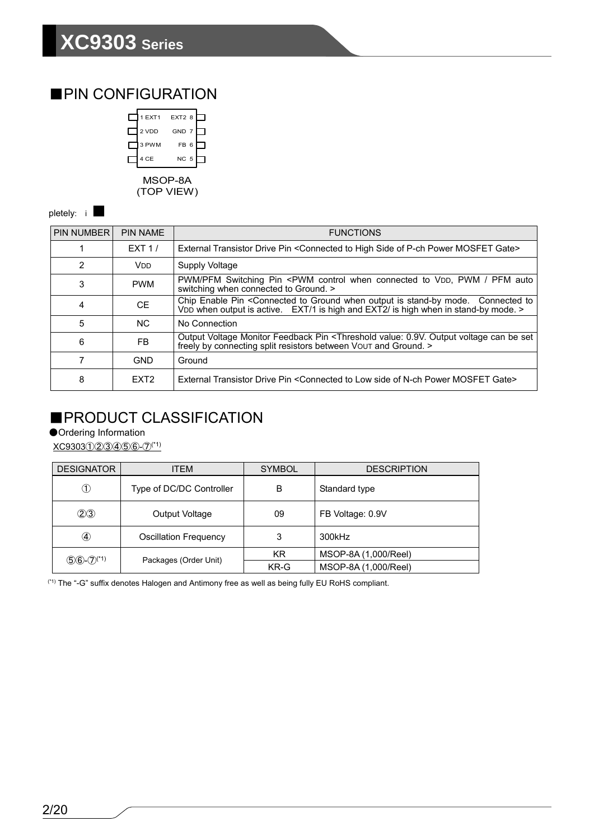### ■PIN CONFIGURATION

|                     | 1 EXT1 | EXT2 8          |  |  |  |  |  |  |  |
|---------------------|--------|-----------------|--|--|--|--|--|--|--|
|                     | 2 VDD  | GND 7           |  |  |  |  |  |  |  |
|                     | 3 PWM  | FB <sub>6</sub> |  |  |  |  |  |  |  |
|                     | 4 CE   | NC 5            |  |  |  |  |  |  |  |
| MSOP-8A<br>OP VIEW) |        |                 |  |  |  |  |  |  |  |

pletely: i

| <b>PIN NUMBER</b> | <b>PIN NAME</b>  | <b>FUNCTIONS</b>                                                                                                                                                                                                 |
|-------------------|------------------|------------------------------------------------------------------------------------------------------------------------------------------------------------------------------------------------------------------|
|                   | EXT1/            | External Transistor Drive Pin < Connected to High Side of P-ch Power MOSFET Gate>                                                                                                                                |
| $\overline{2}$    | V <sub>DD</sub>  | Supply Voltage                                                                                                                                                                                                   |
| 3                 | <b>PWM</b>       | PWM/PFM Switching Pin <pwm auto<br="" connected="" control="" pfm="" pwm="" to="" vdd,="" when="">switching when connected to Ground. &gt;</pwm>                                                                 |
| 4                 | <b>CE</b>        | Chip Enable Pin <connected connected="" ground="" is="" mode.="" output="" stand-by="" to="" to<br="" when="">VDD when output is active. EXT/1 is high and EXT2/ is high when in stand-by mode. &gt;</connected> |
| 5                 | N <sub>C</sub>   | No Connection                                                                                                                                                                                                    |
| 6                 | FB.              | Output Voltage Monitor Feedback Pin <threshold 0.9v.="" be="" can="" output="" set<br="" value:="" voltage="">freely by connecting split resistors between VOUT and Ground. &gt;</threshold>                     |
|                   | <b>GND</b>       | Ground                                                                                                                                                                                                           |
| 8                 | EXT <sub>2</sub> | External Transistor Drive Pin <connected gate="" low="" mosfet="" n-ch="" of="" power="" side="" to=""></connected>                                                                                              |

### ■PRODUCT CLASSIFICATION

●Ordering Information

XC9303①②③④⑤⑥-⑦(\*1)

| <b>DESIGNATOR</b>          | <b>ITEM</b>                  | <b>SYMBOL</b> | <b>DESCRIPTION</b>   |
|----------------------------|------------------------------|---------------|----------------------|
| $^\circledR$               | Type of DC/DC Controller     | B             | Standard type        |
| (2)3                       | Output Voltage               | 09            | FB Voltage: 0.9V     |
| ④                          | <b>Oscillation Frequency</b> | 3             | 300kHz               |
|                            | Packages (Order Unit)        | KR.           | MSOP-8A (1,000/Reel) |
| $(5)6-(7)$ <sup>(*1)</sup> |                              | KR-G          | MSOP-8A (1,000/Reel) |

(\*1) The "-G" suffix denotes Halogen and Antimony free as well as being fully EU RoHS compliant.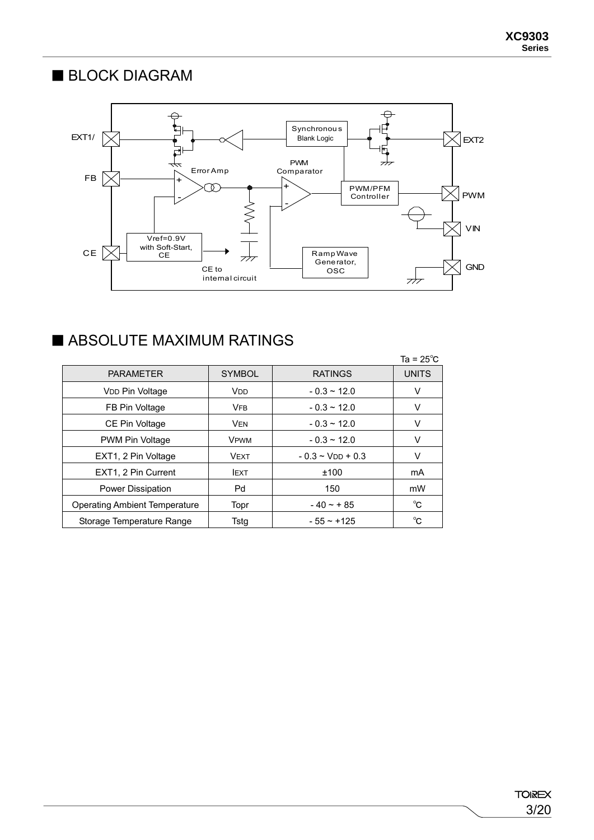# ■ BLOCK DIAGRAM



# ■ ABSOLUTE MAXIMUM RATINGS

|                                      |                       |                       | Ta = $25^{\circ}$ C |
|--------------------------------------|-----------------------|-----------------------|---------------------|
| <b>PARAMETER</b>                     | <b>SYMBOL</b>         | <b>RATINGS</b>        | <b>UNITS</b>        |
| V <sub>DD</sub> Pin Voltage          | <b>V<sub>DD</sub></b> | $-0.3 \sim 12.0$      | V                   |
| FB Pin Voltage                       | <b>VFB</b>            | $-0.3 \sim 12.0$      | V                   |
| CE Pin Voltage                       | <b>VEN</b>            | $-0.3 \sim 12.0$      | v                   |
| PWM Pin Voltage                      | <b>VPWM</b>           | $-0.3 \sim 12.0$      | V                   |
| EXT1, 2 Pin Voltage                  | <b>VEXT</b>           | $-0.3 \sim$ VDD + 0.3 | V                   |
| EXT1, 2 Pin Current                  | <b>IEXT</b>           | ±100                  | mA                  |
| Power Dissipation                    | Pd                    | 150                   | mW                  |
| <b>Operating Ambient Temperature</b> | Topr                  | $-40 - + 85$          | °C                  |
| Storage Temperature Range            | Tstg                  | $-55 - +125$          | °C                  |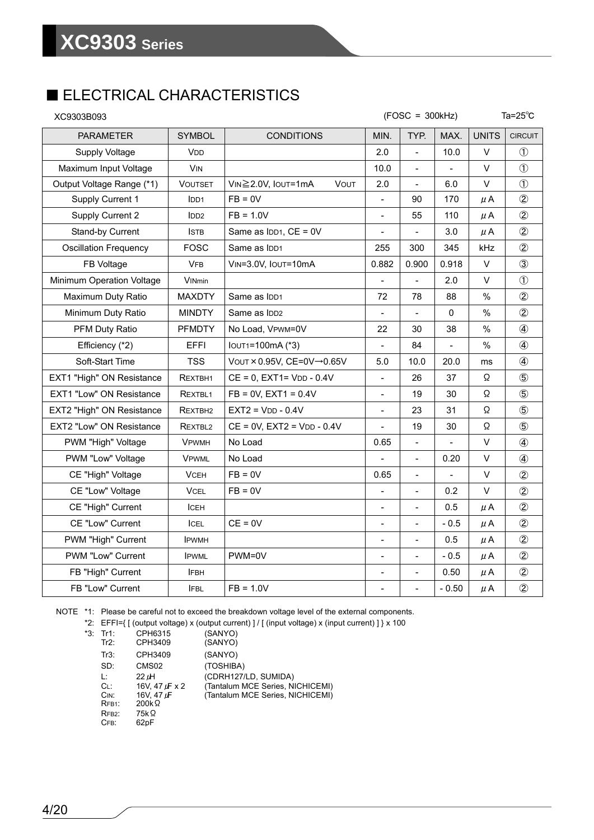# ■ ELECTRICAL CHARACTERISTICS

| XC9303B093                      | $(FOSC = 300kHz)$     |                                   |                              |                          |                          |              | Ta= $25^{\circ}$ C |
|---------------------------------|-----------------------|-----------------------------------|------------------------------|--------------------------|--------------------------|--------------|--------------------|
| <b>PARAMETER</b>                | <b>SYMBOL</b>         | <b>CONDITIONS</b>                 | MIN.                         | TYP.                     | MAX.                     | <b>UNITS</b> | <b>CIRCUIT</b>     |
| <b>Supply Voltage</b>           | <b>V<sub>DD</sub></b> |                                   | 2.0                          | $\overline{a}$           | 10.0                     | $\vee$       | $\mathcal{L}$      |
| Maximum Input Voltage           | <b>VIN</b>            |                                   | 10.0                         |                          |                          | $\vee$       | $\circled{1}$      |
| Output Voltage Range (*1)       | <b>VOUTSET</b>        | VIN≧2.0V, IOUT=1mA<br><b>VOUT</b> | 2.0                          | $\blacksquare$           | 6.0                      | V            | $\circled{1}$      |
| Supply Current 1                | IDD1                  | $FB = 0V$                         | $\overline{\phantom{0}}$     | 90                       | 170                      | μA           | $\circled{2}$      |
| Supply Current 2                | IDD2                  | $FB = 1.0V$                       | $\qquad \qquad \blacksquare$ | 55                       | 110                      | μA           | $\circled{2}$      |
| Stand-by Current                | <b>ISTB</b>           | Same as $IDD1$ , $CE = 0V$        | $\overline{\phantom{0}}$     |                          | 3.0                      | μA           | $\circled{2}$      |
| <b>Oscillation Frequency</b>    | FOSC                  | Same as IDD1                      | 255                          | 300                      | 345                      | kHz          | $\circled{2}$      |
| FB Voltage                      | <b>VFB</b>            | VIN=3.0V, IOUT=10mA               | 0.882                        | 0.900                    | 0.918                    | V            | $\circled{3}$      |
| Minimum Operation Voltage       | <b>VINmin</b>         |                                   | $\overline{\phantom{a}}$     |                          | 2.0                      | V            | $\circled{1}$      |
| Maximum Duty Ratio              | <b>MAXDTY</b>         | Same as IDD1                      | 72                           | 78                       | 88                       | %            | $\circled{2}$      |
| Minimum Duty Ratio              | <b>MINDTY</b>         | Same as IDD <sub>2</sub>          | $\overline{\phantom{a}}$     | $\blacksquare$           | $\mathbf{0}$             | %            | $\circled{2}$      |
| PFM Duty Ratio                  | <b>PFMDTY</b>         | No Load, VPWM=0V                  | 22                           | 30                       | 38                       | $\%$         | $\circled{4}$      |
| Efficiency (*2)                 | EFFI                  | IOUT1=100mA (*3)                  | $\qquad \qquad \blacksquare$ | 84                       | $\overline{\phantom{0}}$ | $\%$         | $\circled{4}$      |
| Soft-Start Time                 | <b>TSS</b>            | VOUT × 0.95V, CE=0V→0.65V         | 5.0                          | 10.0                     | 20.0                     | ms           | $\circled{4}$      |
| EXT1 "High" ON Resistance       | REXTBH <sub>1</sub>   | $CE = 0$ , $EXT1 = VDD - 0.4V$    | $\overline{\phantom{a}}$     | 26                       | 37                       | Ω            | $\circledS$        |
| <b>EXT1 "Low" ON Resistance</b> | REXTBL <sub>1</sub>   | $FB = 0V, EXT1 = 0.4V$            | $\overline{\phantom{0}}$     | 19                       | 30                       | Ω            | $\circledS$        |
| EXT2 "High" ON Resistance       | REXTBH <sub>2</sub>   | $EXT2 = VDD - 0.4V$               | $\qquad \qquad \blacksquare$ | 23                       | 31                       | Ω            | $\circledS$        |
| EXT2 "Low" ON Resistance        | REXTBL <sub>2</sub>   | $CE = 0V$ , $EXT2 = VDD - 0.4V$   | $\overline{a}$               | 19                       | 30                       | Ω            | $\circledS$        |
| PWM "High" Voltage              | <b>VPWMH</b>          | No Load                           | 0.65                         | $\qquad \qquad -$        |                          | V            | $\circled{4}$      |
| PWM "Low" Voltage               | <b>VPWML</b>          | No Load                           |                              | $\overline{\phantom{a}}$ | 0.20                     | $\vee$       | $\circled{4}$      |
| CE "High" Voltage               | <b>VCEH</b>           | $FB = 0V$                         | 0.65                         | $\blacksquare$           | $\overline{\phantom{0}}$ | $\vee$       | $\circled{2}$      |
| CE "Low" Voltage                | <b>VCEL</b>           | $FB = 0V$                         | $\overline{a}$               | $\overline{\phantom{a}}$ | 0.2                      | $\vee$       | $\circled{2}$      |
| CE "High" Current               | ICEH                  |                                   | $\qquad \qquad \blacksquare$ | $\qquad \qquad -$        | 0.5                      | μA           | $\circled{2}$      |
| CE "Low" Current                | <b>ICEL</b>           | $CE = 0V$                         | $\overline{\phantom{0}}$     | $\overline{\phantom{a}}$ | $-0.5$                   | $\mu$ A      | $\circled{2}$      |
| PWM "High" Current              | <b>IPWMH</b>          |                                   | $\overline{\phantom{m}}$     | $\qquad \qquad -$        | 0.5                      | $\mu$ A      | $\circled{2}$      |
| PWM "Low" Current               | <b>IPWML</b>          | PWM=0V                            | $\blacksquare$               | $\bar{\phantom{a}}$      | $-0.5$                   | μA           | $\circled{2}$      |
| FB "High" Current               | <b>IFBH</b>           |                                   | $\qquad \qquad \blacksquare$ | $\qquad \qquad -$        | 0.50                     | $\mu$ A      | $^{\circledR}$     |
| FB "Low" Current                | <b>IFBL</b>           | $FB = 1.0V$                       | $\overline{\phantom{0}}$     | $\frac{1}{2}$            | $-0.50$                  | $\mu$ A      | $\circled{2}$      |

NOTE \*1: Please be careful not to exceed the breakdown voltage level of the external components.

\*2: EFFI={ [ (output voltage) x (output current) ] / [ (input voltage) x (input current) ] } x 100

| $*3:$ Tr1:         | CPH6315                               | (SANYO)                          |
|--------------------|---------------------------------------|----------------------------------|
| Tr2:               | CPH3409                               | (SANYO)                          |
| Tr3:               | CPH3409                               | (SANYO)                          |
| SD:                | CMS <sub>02</sub>                     | (TOSHIBA)                        |
| Ŀ:                 | 22 <sub>th</sub>                      | (CDRH127/LD, SUMIDA)             |
| CL:                | 16V, $47 \text{ u} \text{F} \times 2$ | (Tantalum MCE Series, NICHICEMI) |
| CIN:               | 16V, 47 $\mu$ F                       | (Tantalum MCE Series, NICHICEMI) |
| RFB <sub>1</sub> : | $200k\Omega$                          |                                  |
| RFB <sub>2</sub> : | 75kΩ                                  |                                  |
| CFB:               | 62 <sub>D</sub> F                     |                                  |
|                    |                                       |                                  |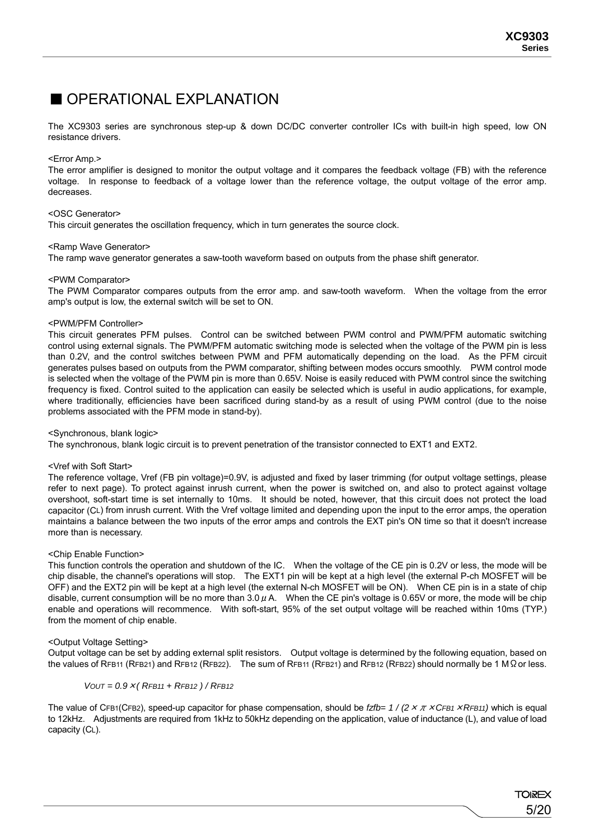### ■ OPERATIONAL EXPLANATION

The XC9303 series are synchronous step-up & down DC/DC converter controller ICs with built-in high speed, low ON resistance drivers.

### <Error Amp.>

The error amplifier is designed to monitor the output voltage and it compares the feedback voltage (FB) with the reference voltage. In response to feedback of a voltage lower than the reference voltage, the output voltage of the error amp. decreases.

### <OSC Generator>

This circuit generates the oscillation frequency, which in turn generates the source clock.

### <Ramp Wave Generator>

The ramp wave generator generates a saw-tooth waveform based on outputs from the phase shift generator.

### <PWM Comparator>

The PWM Comparator compares outputs from the error amp. and saw-tooth waveform. When the voltage from the error amp's output is low, the external switch will be set to ON.

### <PWM/PFM Controller>

This circuit generates PFM pulses. Control can be switched between PWM control and PWM/PFM automatic switching control using external signals. The PWM/PFM automatic switching mode is selected when the voltage of the PWM pin is less than 0.2V, and the control switches between PWM and PFM automatically depending on the load. As the PFM circuit generates pulses based on outputs from the PWM comparator, shifting between modes occurs smoothly. PWM control mode is selected when the voltage of the PWM pin is more than 0.65V. Noise is easily reduced with PWM control since the switching frequency is fixed. Control suited to the application can easily be selected which is useful in audio applications, for example, where traditionally, efficiencies have been sacrificed during stand-by as a result of using PWM control (due to the noise problems associated with the PFM mode in stand-by).

#### <Synchronous, blank logic>

The synchronous, blank logic circuit is to prevent penetration of the transistor connected to EXT1 and EXT2.

#### <Vref with Soft Start>

The reference voltage, Vref (FB pin voltage)=0.9V, is adjusted and fixed by laser trimming (for output voltage settings, please refer to next page). To protect against inrush current, when the power is switched on, and also to protect against voltage overshoot, soft-start time is set internally to 10ms. It should be noted, however, that this circuit does not protect the load capacitor (CL) from inrush current. With the Vref voltage limited and depending upon the input to the error amps, the operation maintains a balance between the two inputs of the error amps and controls the EXT pin's ON time so that it doesn't increase more than is necessary.

### <Chip Enable Function>

This function controls the operation and shutdown of the IC. When the voltage of the CE pin is 0.2V or less, the mode will be chip disable, the channel's operations will stop. The EXT1 pin will be kept at a high level (the external P-ch MOSFET will be OFF) and the EXT2 pin will be kept at a high level (the external N-ch MOSFET will be ON). When CE pin is in a state of chip disable, current consumption will be no more than  $3.0 \mu$  A. When the CE pin's voltage is 0.65V or more, the mode will be chip enable and operations will recommence. With soft-start, 95% of the set output voltage will be reached within 10ms (TYP.) from the moment of chip enable.

#### <Output Voltage Setting>

Output voltage can be set by adding external split resistors. Output voltage is determined by the following equation, based on the values of RFB11 (RFB21) and RFB12 (RFB22). The sum of RFB11 (RFB21) and RFB12 (RFB22) should normally be 1 MΩor less.

$$
VOUT = 0.9 \times (RFB11 + RFB12) / RFB12
$$

The value of CFB1(CFB2), speed-up capacitor for phase compensation, should be *fzfb= 1 / (2*×π×*CFB1*×*RFB11)* which is equal to 12kHz. Adjustments are required from 1kHz to 50kHz depending on the application, value of inductance (L), and value of load capacity (CL).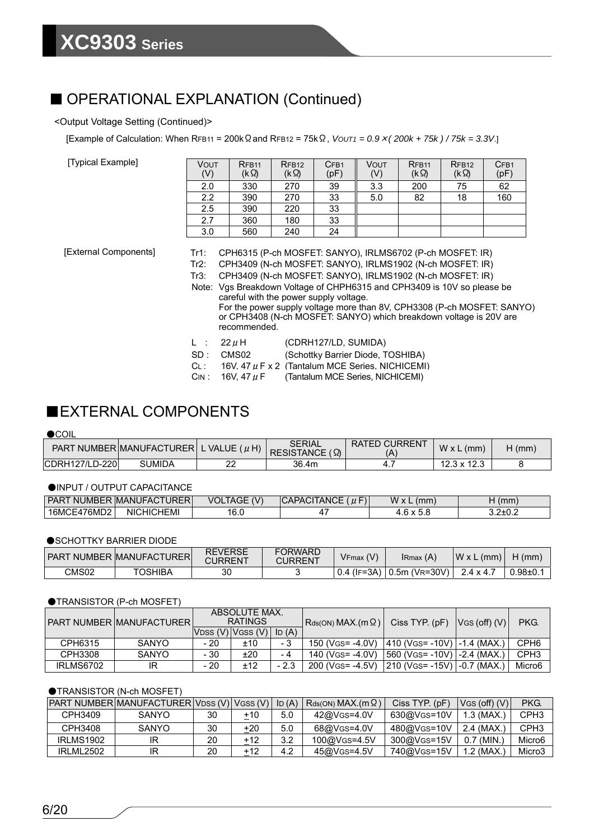### ■ OPERATIONAL EXPLANATION (Continued)

### <Output Voltage Setting (Continued)>

[Example of Calculation: When RFB11 = 200kΩand RFB12 = 75kΩ, *VOUT1 = 0.9*×*( 200k + 75k ) / 75k = 3.3V*.]

[Typical Example]

| Vout<br>(V) | RFB <sub>11</sub><br>(kΩ) | RFB <sub>12</sub><br>(kΩ) | CF <sub>B1</sub><br>(pF) | Vout<br>(V) | RFB <sub>11</sub><br>(kΩ) | RFB <sub>12</sub><br>$(k \Omega)$ | CFB <sub>1</sub><br>(pF) |
|-------------|---------------------------|---------------------------|--------------------------|-------------|---------------------------|-----------------------------------|--------------------------|
| 2.0         | 330                       | 270                       | 39                       | 3.3         | 200                       | 75                                | 62                       |
| 2.2         | 390                       | 270                       | 33                       | 5.0         | 82                        | 18                                | 160                      |
| 2.5         | 390                       | 220                       | 33                       |             |                           |                                   |                          |
| 2.7         | 360                       | 180                       | 33                       |             |                           |                                   |                          |
| 3.0         | 560                       | 240                       | 24                       |             |                           |                                   |                          |

[External Components]

Tr1: CPH6315 (P-ch MOSFET: SANYO), IRLMS6702 (P-ch MOSFET: IR)

Tr2: CPH3409 (N-ch MOSFET: SANYO), IRLMS1902 (N-ch MOSFET: IR)

- Tr3: CPH3409 (N-ch MOSFET: SANYO), IRLMS1902 (N-ch MOSFET: IR)
- Note: Vgs Breakdown Voltage of CHPH6315 and CPH3409 is 10V so please be careful with the power supply voltage. For the power supply voltage more than 8V, CPH3308 (P-ch MOSFET: SANYO) or CPH3408 (N-ch MOSFET: SANYO) which breakdown voltage is 20V are recommended.
- L :  $22 \mu$ H (CDRH127/LD, SUMIDA)
- SD : CMS02 (Schottky Barrier Diode, TOSHIBA)
- CL: 16V. 47 *μ* F x 2 (Tantalum MCE Series, NICHICEMI)
- $C_{IN}: 16V, 47 \mu F$  (Tantalum MCE Series, NICHICEMI)

### ■EXTERNAL COMPONENTS

### $\bullet$ COIL

| PART NUMBER MANUFACTURER L VALUE $(\mu H)$ |               |   | SERIAL<br>$RESISTANCE ( \Omega)$ | <b>RATED CURRENT</b> | $W \times L$ (mm)  | $H$ (mm) |
|--------------------------------------------|---------------|---|----------------------------------|----------------------|--------------------|----------|
| CDRH127/LD-220                             | <b>SUMIDA</b> | ے | 36.4m                            |                      | $12.3 \times 12.3$ |          |

### ●INPUT / OUTPUT CAPACITANCE

| <b>PAR</b><br>NI<br>JMBER                      | CTURERI<br>P IMANUFAC.   | (<br>VOL<br>⊿IAGE ′ | $-$<br>$1 \cap F$<br>$\mu$ $\mu$<br><b>'ANGL</b><br><b>UHL</b><br>u | W<br>$'$ mm.<br>$\mathbf{v}$ | $m_{\rm m}$<br>,,,,,,,            |
|------------------------------------------------|--------------------------|---------------------|---------------------------------------------------------------------|------------------------------|-----------------------------------|
| $\overline{\phantom{a}}$<br>16MCL<br>. −476MD∠ | <b>HEM</b><br>:HIC<br>Νŀ | 1G<br>. v. v        |                                                                     | J.J                          | ົ່າ ດ⊥∩ ຕ<br>0. <del>41</del> 0.4 |

### ● SCHOTTKY BARRIER DIODE

|       | I PART NUMBER IMANUFACTURERI | <b>REVERSE</b><br>CURRENT | <b>FORWARD</b><br>CURRENT | $V$ Fmax $(V)$ | IRmax (A)                        | $W \times L$ (mm) | $H$ (mm)    |
|-------|------------------------------|---------------------------|---------------------------|----------------|----------------------------------|-------------------|-------------|
| CMS02 | TOSHIBA                      | 30                        |                           |                | $10.4$ (IF=3A) $10.5$ m (VR=30V) | $2.4 \times 4.7$  | $0.98 + 0.$ |

### ●TRANSISTOR (P-ch MOSFET)

|           | I PART NUMBER IMANUFACTURER I | ABSOLUTE MAX.<br><b>RATINGS</b> |                     | $Rds(ON) MAX.(m \Omega) Ciss TYPE. (pF)$ |                                                  | VGS(off)(V)                   | PKG. |                  |
|-----------|-------------------------------|---------------------------------|---------------------|------------------------------------------|--------------------------------------------------|-------------------------------|------|------------------|
|           |                               |                                 | IVDSS (V)IVGSS (V)I | ID $(A)$                                 |                                                  |                               |      |                  |
| CPH6315   | <b>SANYO</b>                  | - 20                            | ±10                 | - 3                                      | 150 (VGS= -4.0V)   410 (VGS= -10V)   -1.4 (MAX.) |                               |      | CPH <sub>6</sub> |
| CPH3308   | <b>SANYO</b>                  | - 30                            | ±20                 | - 4                                      | 140 (VGS= -4.0V)                                 | 1560 (VGS= -10V) 1-2.4 (MAX.  |      | CPH <sub>3</sub> |
| IRLMS6702 | IR                            | - 20                            | ±12                 | $-2.3$                                   | 200 (VGS= -4.5V)                                 | 210 (VGS= -15V)   -0.7 (MAX., |      | Micro6           |

### ●TRANSISTOR (N-ch MOSFET)

|                  | <b>IPART NUMBERIMANUFACTURERIVDSS (V)I VGSS (V)I</b> |    |     | ID(A) | $Rds(ON) MAX.(m \Omega)$ | $Ciss$ TYP. $(pF)$ | $V$ GS (off) $(V)$ | PKG.               |
|------------------|------------------------------------------------------|----|-----|-------|--------------------------|--------------------|--------------------|--------------------|
| CPH3409          | SANYO                                                | 30 | +10 | 5.0   | 42@VGS=4.0V              | 630@VGS=10V        | $1.3$ (MAX.,       | CPH <sub>3</sub>   |
| CPH3408          | SANYO                                                | 30 | +20 | 5.0   | 68@VGS=4.0V              | 480@VGS=10V        | 2.4 (MAX.          | CPH <sub>3</sub>   |
| <b>IRLMS1902</b> |                                                      | 20 | +12 | 3.2   | 100@VGS=4.5V             | 300@VGS=15V        | MIN.<br>0.7        | Micro <sub>6</sub> |
| <b>IRLML2502</b> |                                                      | 20 | +12 | 4.2   | 45@VGS=4.5V              | 740@VGS=15V        | $1.2$ (MAX.        | Micro <sub>3</sub> |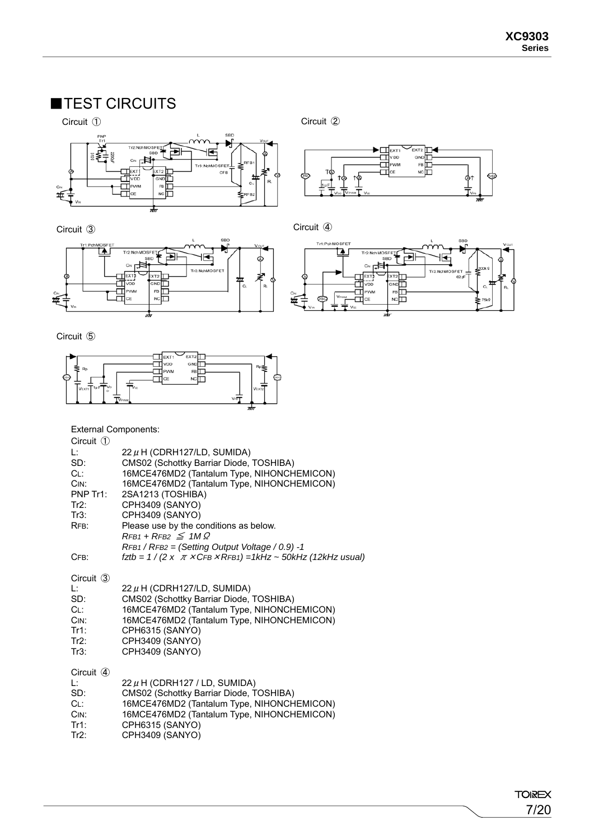# ■TEST CIRCUITS





Circuit ⑤



External Components:

| Circuit $\circled{1}$ |                                                                     |
|-----------------------|---------------------------------------------------------------------|
| Ŀ.                    | 22 $\mu$ H (CDRH127/LD, SUMIDA)                                     |
| SD:                   | CMS02 (Schottky Barriar Diode, TOSHIBA)                             |
| CL:                   | 16MCE476MD2 (Tantalum Type, NIHONCHEMICON)                          |
| CIN:                  | 16MCE476MD2 (Tantalum Type, NIHONCHEMICON)                          |
| PNP Tr1:              | 2SA1213 (TOSHIBA)                                                   |
| $Tr2$ :<br>Tr3:       | CPH3409 (SANYO)<br>CPH3409 (SANYO)                                  |
| RFB:                  | Please use by the conditions as below.                              |
|                       | $RFB1 + RFB2 \leq 1 M \Omega$                                       |
|                       | $RFB1 / RFB2 = (Setting Output Voltage / 0.9) - 1$                  |
| CFB:                  | $f$ ztb = 1 / (2 x $\pi$ × CFB × RFB1) = 1kHz ~ 50kHz (12kHz usual) |
| Circuit $\circled{3}$ |                                                                     |
| Ŀ.                    | 22 $\mu$ H (CDRH127/LD, SUMIDA)                                     |
| SD:                   | CMS02 (Schottky Barriar Diode, TOSHIBA)                             |
| CL:                   | 16MCE476MD2 (Tantalum Type, NIHONCHEMICON)                          |
| CIN:                  | 16MCE476MD2 (Tantalum Type, NIHONCHEMICON)                          |
| Tr1:<br>Tr2:          | CPH6315 (SANYO)<br>CPH3409 (SANYO)                                  |
| Tr3:                  | CPH3409 (SANYO)                                                     |
|                       |                                                                     |
| Circuit 4             |                                                                     |
| Ŀ.                    | 22 $\mu$ H (CDRH127 / LD, SUMIDA)                                   |
| SD:                   | CMS02 (Schottky Barriar Diode, TOSHIBA)                             |
| CL:                   | 16MCE476MD2 (Tantalum Type, NIHONCHEMICON)                          |
| CIN:                  | 16MCE476MD2 (Tantalum Type, NIHONCHEMICON)                          |
| Tr1:                  | CPH6315 (SANYO)                                                     |
| $Tr2$ :               | CPH3409 (SANYO)                                                     |



Circuit ③ Circuit ④

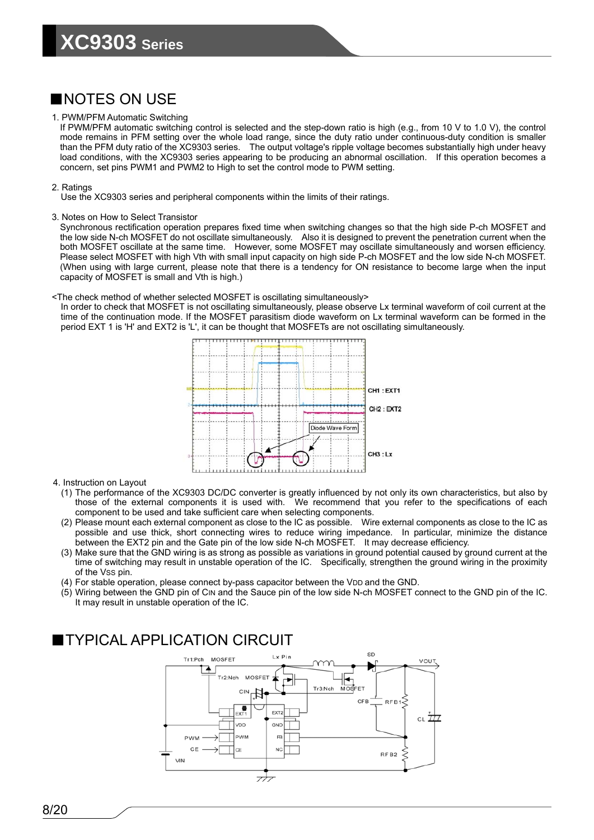### ■NOTES ON USE

### 1. PWM/PFM Automatic Switching

If PWM/PFM automatic switching control is selected and the step-down ratio is high (e.g., from 10 V to 1.0 V), the control mode remains in PFM setting over the whole load range, since the duty ratio under continuous-duty condition is smaller than the PFM duty ratio of the XC9303 series. The output voltage's ripple voltage becomes substantially high under heavy load conditions, with the XC9303 series appearing to be producing an abnormal oscillation. If this operation becomes a concern, set pins PWM1 and PWM2 to High to set the control mode to PWM setting.

### 2. Ratings

Use the XC9303 series and peripheral components within the limits of their ratings.

### 3. Notes on How to Select Transistor

Synchronous rectification operation prepares fixed time when switching changes so that the high side P-ch MOSFET and the low side N-ch MOSFET do not oscillate simultaneously. Also it is designed to prevent the penetration current when the both MOSFET oscillate at the same time. However, some MOSFET may oscillate simultaneously and worsen efficiency. Please select MOSFET with high Vth with small input capacity on high side P-ch MOSFET and the low side N-ch MOSFET. (When using with large current, please note that there is a tendency for ON resistance to become large when the input capacity of MOSFET is small and Vth is high.)

### <The check method of whether selected MOSFET is oscillating simultaneously>

In order to check that MOSFET is not oscillating simultaneously, please observe Lx terminal waveform of coil current at the time of the continuation mode. If the MOSFET parasitism diode waveform on Lx terminal waveform can be formed in the period EXT 1 is 'H' and EXT2 is 'L', it can be thought that MOSFETs are not oscillating simultaneously.



#### 4. Instruction on Layout

- (1) The performance of the XC9303 DC/DC converter is greatly influenced by not only its own characteristics, but also by those of the external components it is used with. We recommend that you refer to the specifications of each component to be used and take sufficient care when selecting components.
- (2) Please mount each external component as close to the IC as possible. Wire external components as close to the IC as possible and use thick, short connecting wires to reduce wiring impedance. In particular, minimize the distance between the EXT2 pin and the Gate pin of the low side N-ch MOSFET. It may decrease efficiency.
- (3) Make sure that the GND wiring is as strong as possible as variations in ground potential caused by ground current at the time of switching may result in unstable operation of the IC. Specifically, strengthen the ground wiring in the proximity of the Vss pin.
- (4) For stable operation, please connect by-pass capacitor between the VDD and the GND.
- (5) Wiring between the GND pin of CIN and the Sauce pin of the low side N-ch MOSFET connect to the GND pin of the IC. It may result in unstable operation of the IC.

### ■TYPICAL APPLICATION CIRCUIT

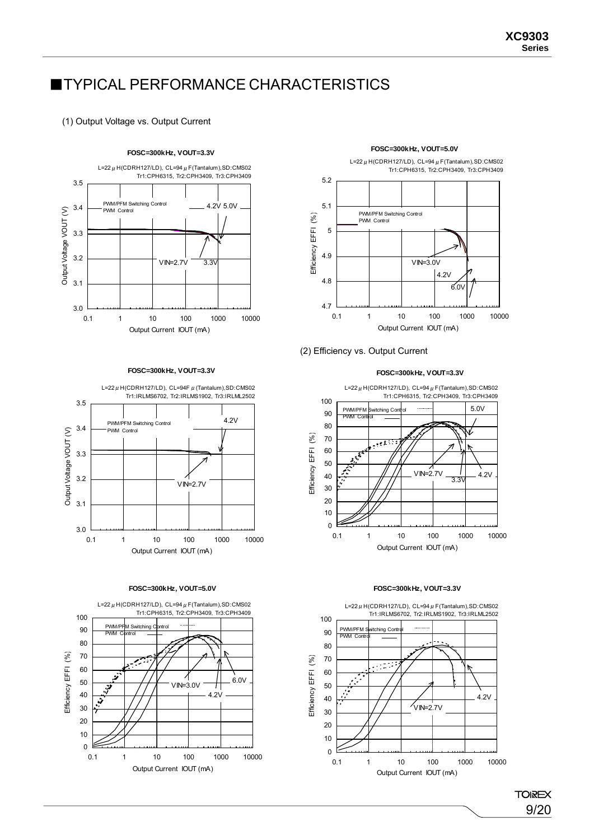# **TYPICAL PERFORMANCE CHARACTERISTICS**

### (1) Output Voltage vs. Output Current



#### **FOSC=300kHz, VOUT=3.3V**



#### **FOSC=300kHz, VOUT=5.0V**



### **FOSC=300kHz, VOUT=5.0V**



### (2) Efficiency vs. Output Current

#### **FOSC=300kHz, VOUT=3.3V**



#### **FOSC=300kHz, VOUT=3.3V**



**TOIREX** 9/20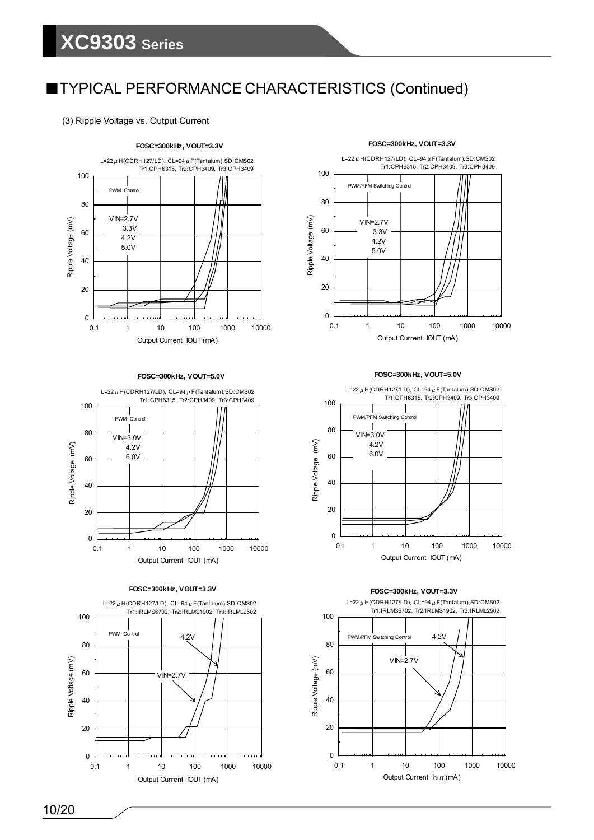(3) Ripple Voltage vs. Output Current



#### **FOSC=300kHz, VOUT=5.0V**



**FOSC=300kHz, VOUT=3.3V**



#### **FOSC=300kHz, VOUT=3.3V**



#### **FOSC=300kHz, VOUT=5.0V**



#### **FOSC=300kHz, VOUT=3.3V**

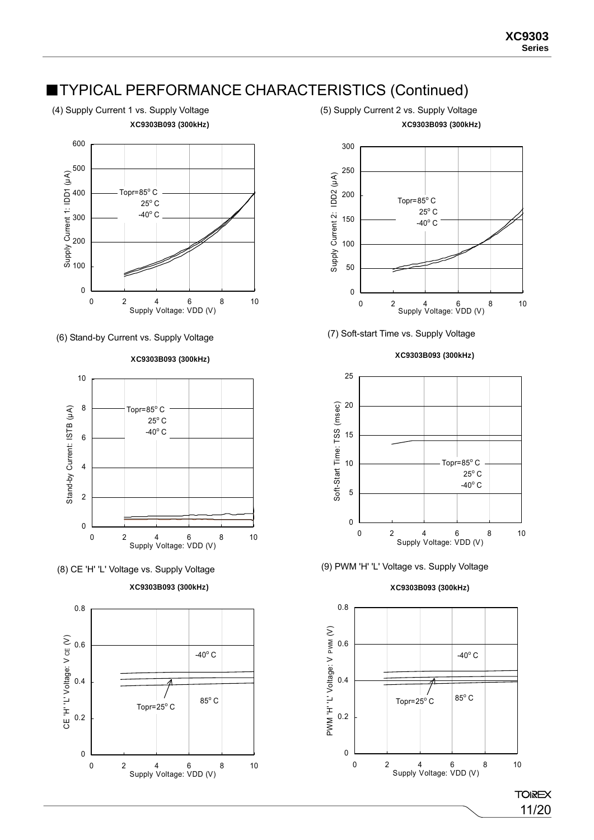**XC9303B093 (300kHz)**

(4) Supply Current 1 vs. Supply Voltage (5) Supply Current 2 vs. Supply Voltage **XC9303B093 (300kHz)**





**XC9303B093 (300kHz)**













(8) CE 'H' 'L' Voltage vs. Supply Voltage (9) PWM 'H' 'L' Voltage vs. Supply Voltage

### **XC9303B093 (300kHz)**



**XC9303B093 (300kHz)**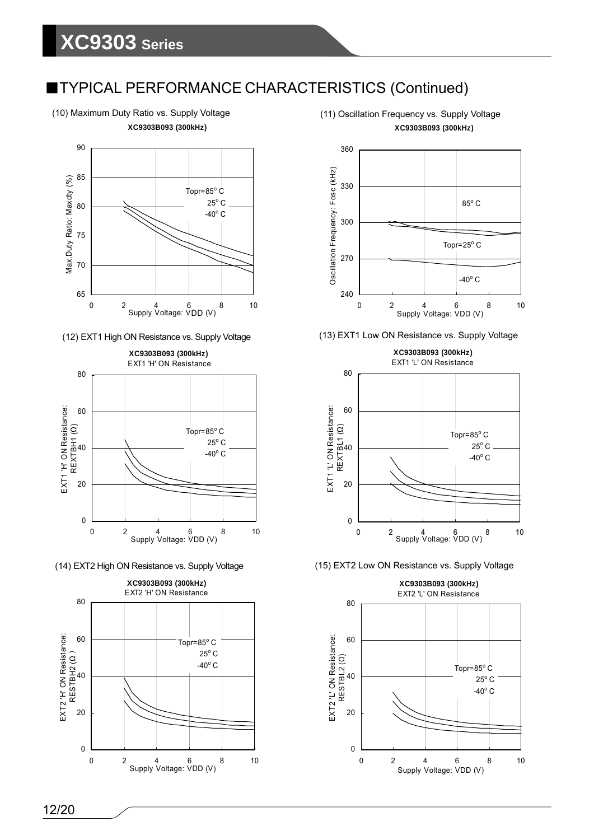(10) Maximum Duty Ratio vs. Supply Voltage (11) Oscillation Frequency vs. Supply Voltage **XC9303B093 (300kHz)**









**XC9303B093 (300kHz)**





**XC9303B093 (300kHz)** EXT1 'L' ON Resistance



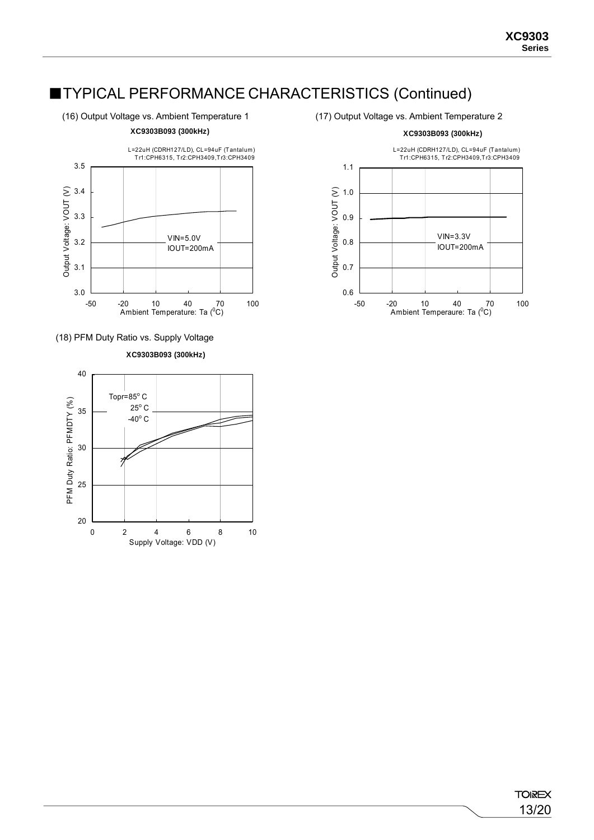(16) Output Voltage vs. Ambient Temperature 1 (17) Output Voltage vs. Ambient Temperature 2



3.0 3.1 3.2 3.3 3.4 3.5 -50 -20 10 40 70 100 Ambient Temperature: Ta (0 C) Output Voltage: VOUT (V) L=22uH (CDRH127/LD), CL=94uF (Tantalum) Tr1:CPH6315, Tr2:CPH3409,Tr3:CPH3409 VIN=5.0V IOUT=200mA



**XC9303B093 (300kHz)**



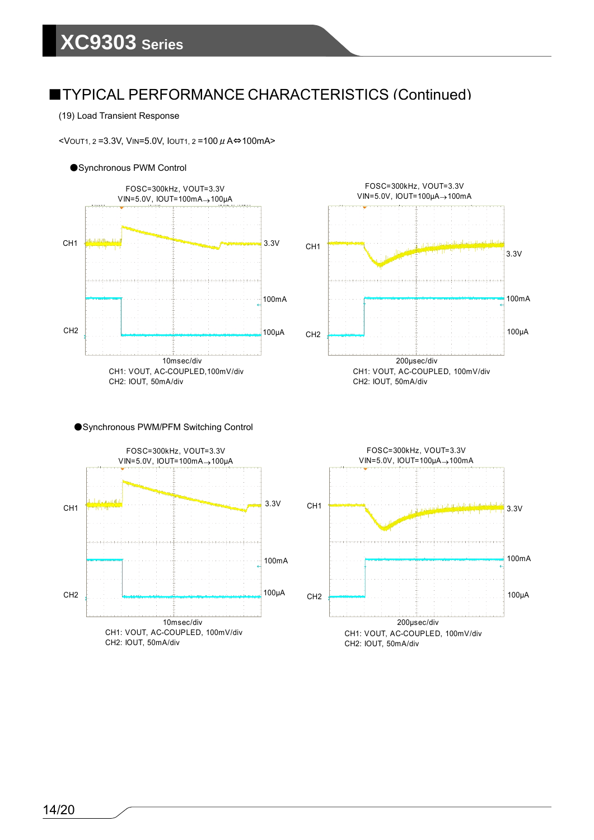### (19) Load Transient Response

<VOUT1, 2=3.3V, VIN=5.0V, IOUT1, 2=100  $\mu$  A⇔100mA>

### ●Synchronous PWM Control





### ●Synchronous PWM/PFM Switching Control



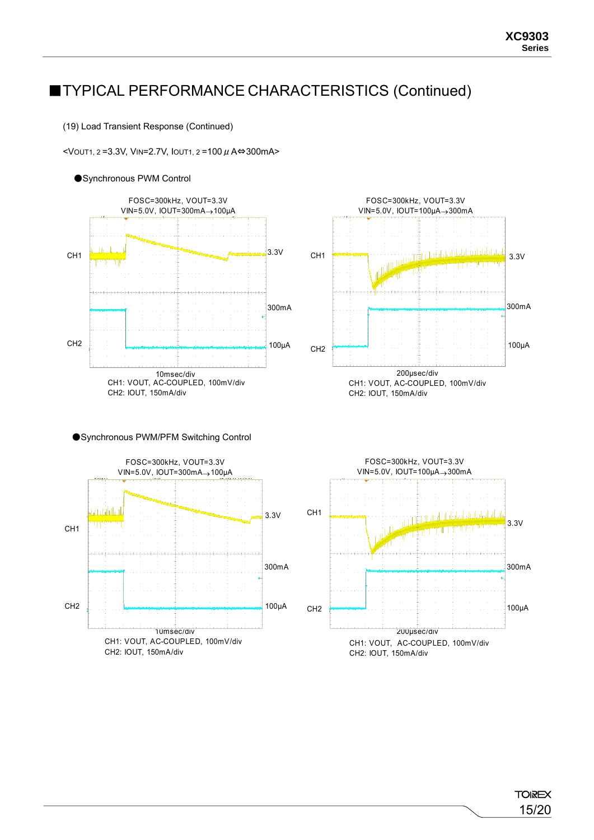(19) Load Transient Response (Continued)

<VOUT1, 2 =3.3V, VIN=2.7V, IOUT1, 2 =100μA⇔300mA>

### ●Synchronous PWM Control









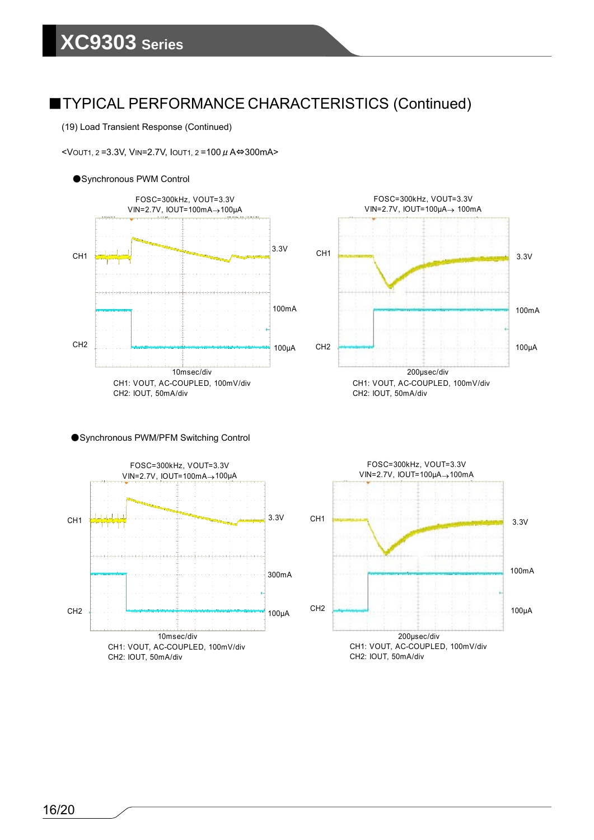(19) Load Transient Response (Continued)

<VOUT1, 2 =3.3V, VIN=2.7V, IOUT1, 2 =100μA⇔300mA>





●Synchronous PWM/PFM Switching Control



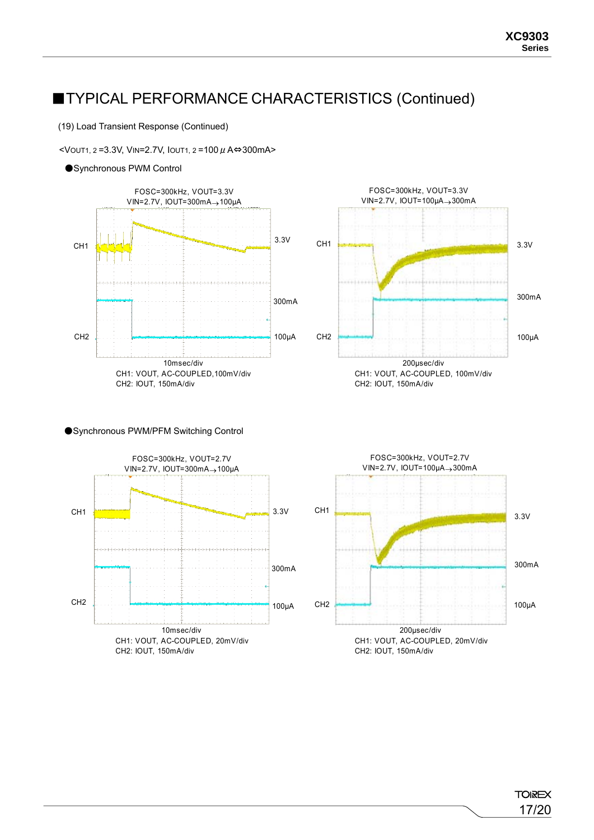(19) Load Transient Response (Continued)

 $\le$ VOUT1, 2=3.3V, VIN=2.7V, IOUT1, 2=100 μ A⇔300mA>

### ●Synchronous PWM Control





#### ●Synchronous PWM/PFM Switching Control

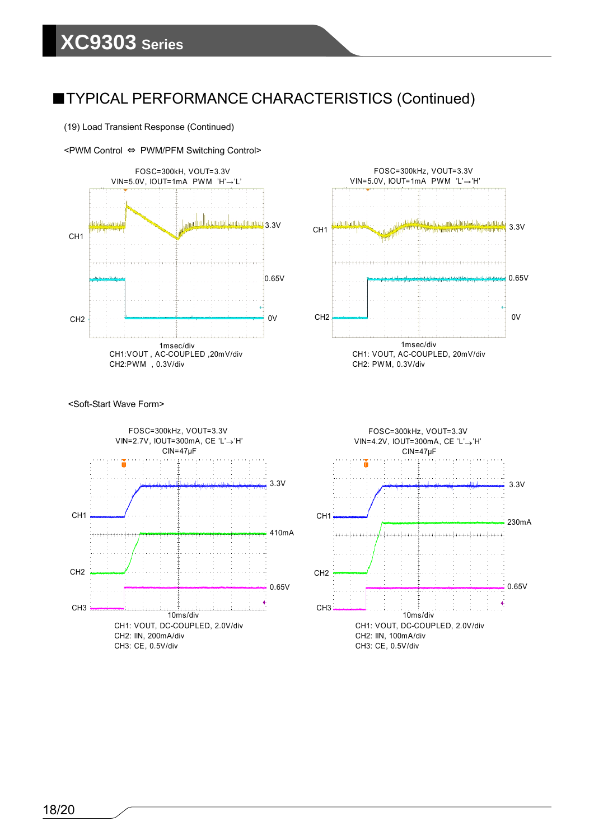







<Soft-Start Wave Form>



FOSC=300kHz, VOUT=3.3V VIN=4.2V, IOUT=300mA, CE 'L'→'H' CIN=47μF 3.3V 0.65V 230mA 10ms/div CH1: VOUT, DC-COUPLED, 2.0V/div CH2: IIN, 100mA/div CH3: CE, 0.5V/div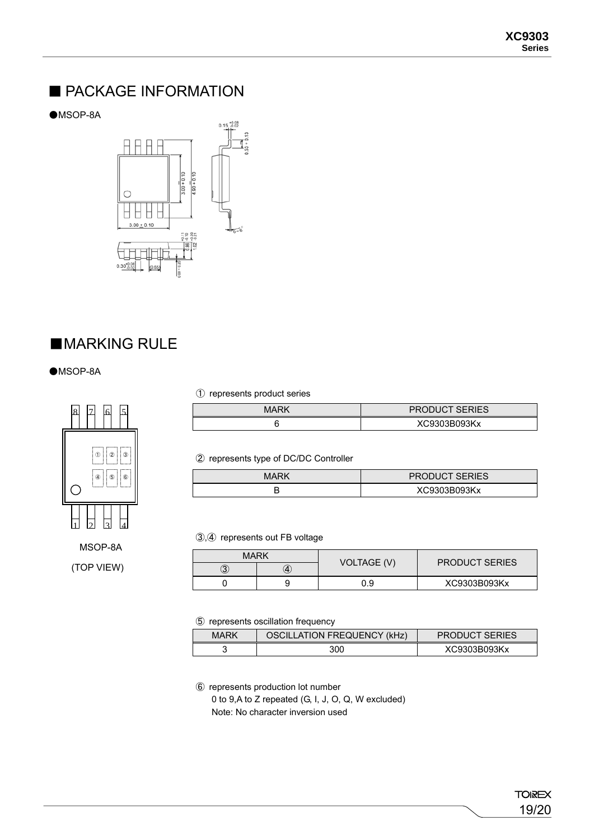### ■ PACKAGE INFORMATION

●MSOP-8A



### ■**MARKING RULE**

●MSOP-8A



MSOP-8A (TOP VIEW) ① represents product series

| MARK | <b>PRODUCT SERIES</b> |
|------|-----------------------|
|      | XC9303B093Kx          |

② represents type of DC/DC Controller

| MARK | <b>PRODUCT SERIES</b> |
|------|-----------------------|
|      | XC9303B093Kx          |

③,④ represents out FB voltage

| MARK |   | <b>VOLTAGE (V)</b> | <b>PRODUCT SERIES</b> |  |
|------|---|--------------------|-----------------------|--|
| 3    | 4 |                    |                       |  |
|      |   | J.9                | XC9303B093Kx          |  |

⑤ represents oscillation frequency

| MARK | <b>OSCILLATION FREQUENCY (kHz)</b> | <b>PRODUCT SERIES</b> |
|------|------------------------------------|-----------------------|
|      | 300                                | XC9303B093Kx          |

⑥ represents production lot number

0 to 9,A to Z repeated (G, I, J, O, Q, W excluded) Note: No character inversion used